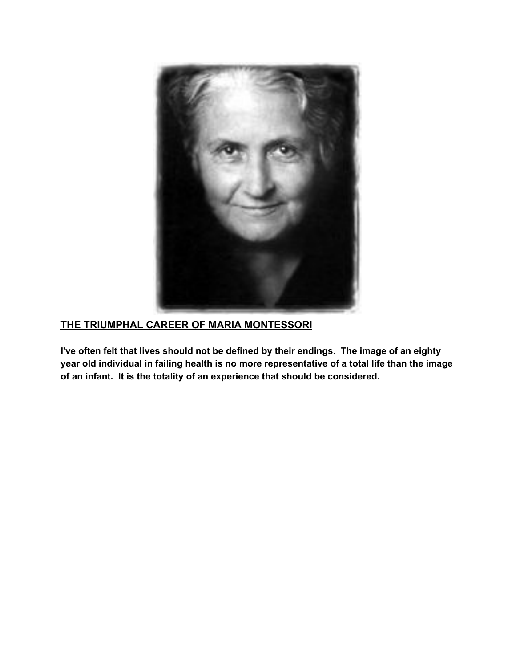

## **THE TRIUMPHAL CAREER OF MARIA MONTESSORI**

**I've often felt that lives should not be defined by their endings. The image of an eighty year old individual in failing health is no more representative of a total life than the image of an infant. It is the totality of an experience that should be considered.**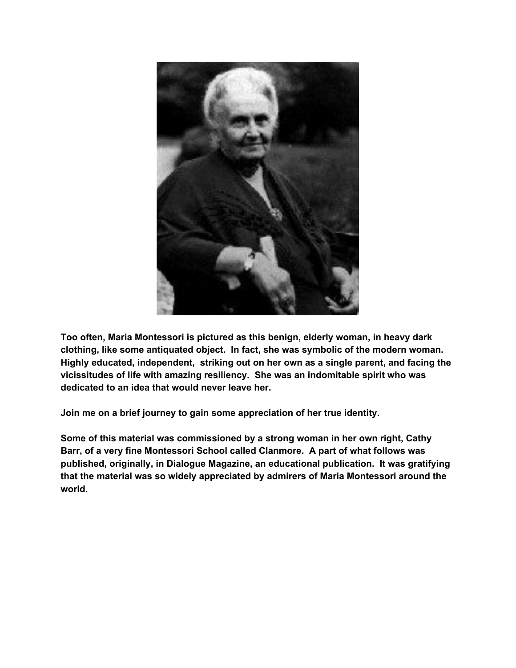

**Too often, Maria Montessori is pictured as this benign, elderly woman, in heavy dark clothing, like some antiquated object. In fact, she was symbolic of the modern woman. Highly educated, independent, striking out on her own as a single parent, and facing the vicissitudes of life with amazing resiliency. She was an indomitable spirit who was dedicated to an idea that would never leave her.**

**Join me on a brief journey to gain some appreciation of her true identity.**

**Some of this material was commissioned by a strong woman in her own right, Cathy Barr, of a very fine Montessori School called Clanmore. A part of what follows was published, originally, in Dialogue Magazine, an educational publication. It was gratifying that the material was so widely appreciated by admirers of Maria Montessori around the world.**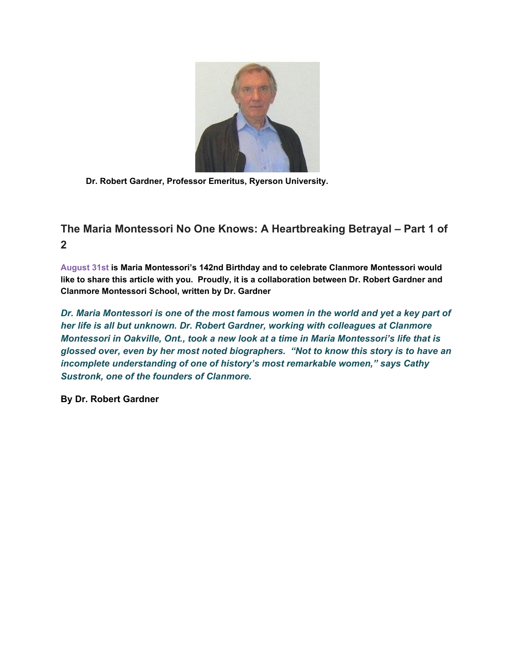

**Dr. Robert Gardner, Professor Emeritus, Ryerson University.**

# **The Maria Montessori No One Knows: A Heartbreaking Betrayal – Part 1 of 2**

**August 31st is Maria Montessori's 142nd Birthday and to celebrate Clanmore Montessori would like to share this article with you. Proudly, it is a collaboration between Dr. Robert Gardner and Clanmore Montessori School, written by Dr. Gardner**

*Dr. Maria Montessori is one of the most famous women in the world and yet a key part of her life is all but unknown. Dr. Robert Gardner, working with colleagues at Clanmore Montessori in Oakville, Ont., took a new look at a time in Maria Montessori's life that is glossed over, even by her most noted biographers. "Not to know this story is to have an incomplete understanding of one of history's most remarkable women," says Cathy Sustronk, one of the founders of Clanmore.*

**By Dr. Robert Gardner**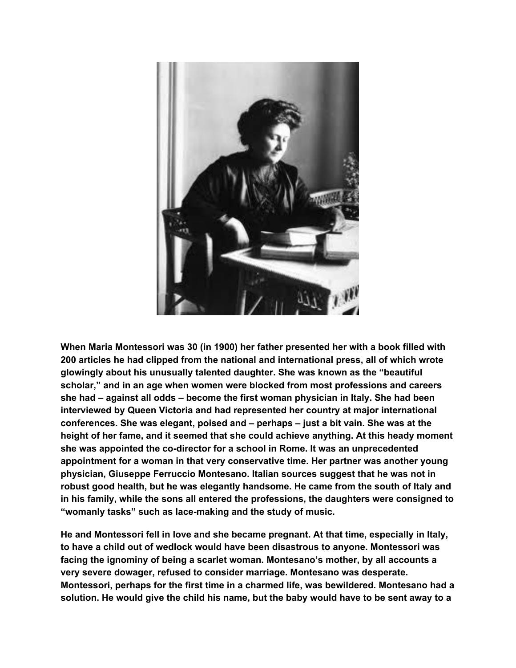

**When Maria Montessori was 30 (in 1900) her father presented her with a book filled with 200 articles he had clipped from the national and international press, all of which wrote glowingly about his unusually talented daughter. She was known as the "beautiful scholar," and in an age when women were blocked from most professions and careers she had – against all odds – become the first woman physician in Italy. She had been interviewed by Queen Victoria and had represented her country at major international conferences. She was elegant, poised and – perhaps – just a bit vain. She was at the height of her fame, and it seemed that she could achieve anything. At this heady moment she was appointed the co-director for a school in Rome. It was an unprecedented appointment for a woman in that very conservative time. Her partner was another young physician, Giuseppe Ferruccio Montesano. Italian sources suggest that he was not in robust good health, but he was elegantly handsome. He came from the south of Italy and in his family, while the sons all entered the professions, the daughters were consigned to "womanly tasks" such as lace-making and the study of music.**

**He and Montessori fell in love and she became pregnant. At that time, especially in Italy, to have a child out of wedlock would have been disastrous to anyone. Montessori was facing the ignominy of being a scarlet woman. Montesano's mother, by all accounts a very severe dowager, refused to consider marriage. Montesano was desperate. Montessori, perhaps for the first time in a charmed life, was bewildered. Montesano had a solution. He would give the child his name, but the baby would have to be sent away to a**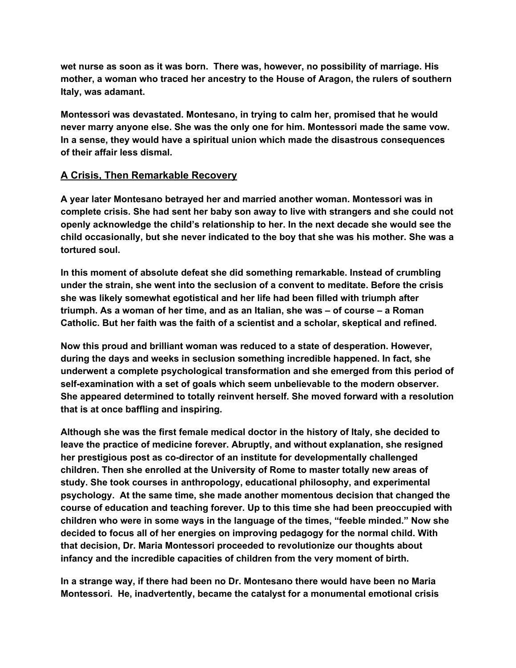**wet nurse as soon as it was born. There was, however, no possibility of marriage. His mother, a woman who traced her ancestry to the House of Aragon, the rulers of southern Italy, was adamant.**

**Montessori was devastated. Montesano, in trying to calm her, promised that he would never marry anyone else. She was the only one for him. Montessori made the same vow. In a sense, they would have a spiritual union which made the disastrous consequences of their affair less dismal.**

## **A Crisis, Then Remarkable Recovery**

**A year later Montesano betrayed her and married another woman. Montessori was in complete crisis. She had sent her baby son away to live with strangers and she could not openly acknowledge the child's relationship to her. In the next decade she would see the child occasionally, but she never indicated to the boy that she was his mother. She was a tortured soul.**

**In this moment of absolute defeat she did something remarkable. Instead of crumbling under the strain, she went into the seclusion of a convent to meditate. Before the crisis she was likely somewhat egotistical and her life had been filled with triumph after triumph. As a woman of her time, and as an Italian, she was – of course – a Roman Catholic. But her faith was the faith of a scientist and a scholar, skeptical and refined.**

**Now this proud and brilliant woman was reduced to a state of desperation. However, during the days and weeks in seclusion something incredible happened. In fact, she underwent a complete psychological transformation and she emerged from this period of self-examination with a set of goals which seem unbelievable to the modern observer. She appeared determined to totally reinvent herself. She moved forward with a resolution that is at once baffling and inspiring.**

**Although she was the first female medical doctor in the history of Italy, she decided to leave the practice of medicine forever. Abruptly, and without explanation, she resigned her prestigious post as co-director of an institute for developmentally challenged children. Then she enrolled at the University of Rome to master totally new areas of study. She took courses in anthropology, educational philosophy, and experimental psychology. At the same time, she made another momentous decision that changed the course of education and teaching forever. Up to this time she had been preoccupied with children who were in some ways in the language of the times, "feeble minded." Now she decided to focus all of her energies on improving pedagogy for the normal child. With that decision, Dr. Maria Montessori proceeded to revolutionize our thoughts about infancy and the incredible capacities of children from the very moment of birth.**

**In a strange way, if there had been no Dr. Montesano there would have been no Maria Montessori. He, inadvertently, became the catalyst for a monumental emotional crisis**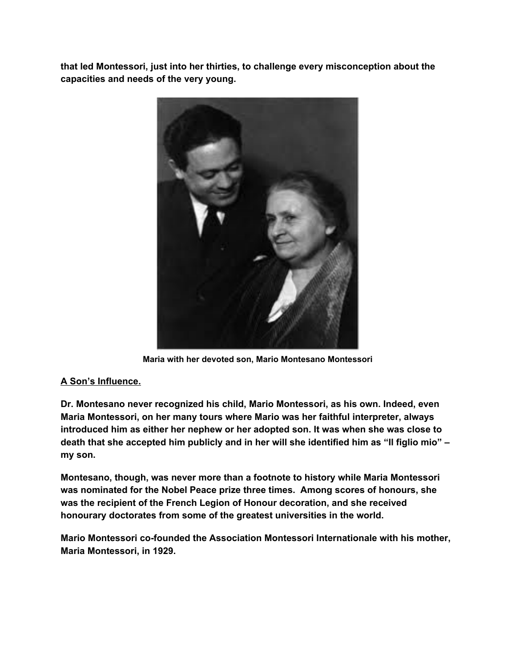**that led Montessori, just into her thirties, to challenge every misconception about the capacities and needs of the very young.**



**Maria with her devoted son, Mario Montesano Montessori**

### **A Son's Influence.**

**Dr. Montesano never recognized his child, Mario Montessori, as his own. Indeed, even Maria Montessori, on her many tours where Mario was her faithful interpreter, always introduced him as either her nephew or her adopted son. It was when she was close to death that she accepted him publicly and in her will she identified him as "Il figlio mio" – my son.**

**Montesano, though, was never more than a footnote to history while Maria Montessori was nominated for the Nobel Peace prize three times. Among scores of honours, she was the recipient of the French Legion of Honour decoration, and she received honourary doctorates from some of the greatest universities in the world.**

**Mario Montessori co-founded the Association Montessori Internationale with his mother, Maria Montessori, in 1929.**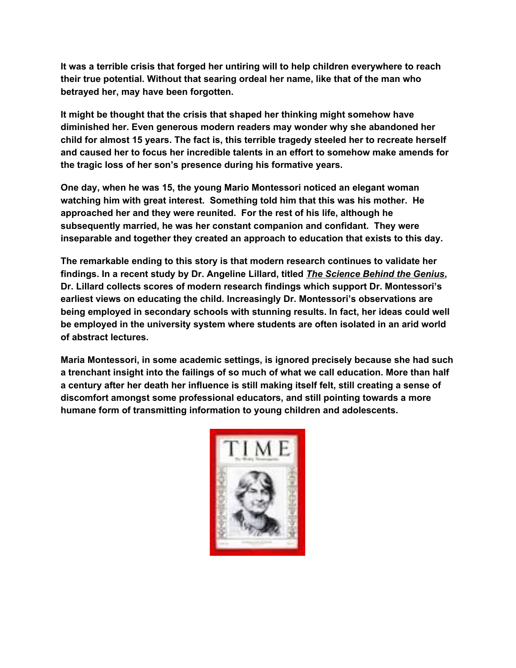**It was a terrible crisis that forged her untiring will to help children everywhere to reach their true potential. Without that searing ordeal her name, like that of the man who betrayed her, may have been forgotten.**

**It might be thought that the crisis that shaped her thinking might somehow have diminished her. Even generous modern readers may wonder why she abandoned her child for almost 15 years. The fact is, this terrible tragedy steeled her to recreate herself and caused her to focus her incredible talents in an effort to somehow make amends for the tragic loss of her son's presence during his formative years.**

**One day, when he was 15, the young Mario Montessori noticed an elegant woman watching him with great interest. Something told him that this was his mother. He approached her and they were reunited. For the rest of his life, although he subsequently married, he was her constant companion and confidant. They were inseparable and together they created an approach to education that exists to this day.**

**The remarkable ending to this story is that modern research continues to validate her findings. In a recent study by Dr. Angeline Lillard, titled** *The Science Behind the Genius***, Dr. Lillard collects scores of modern research findings which support Dr. Montessori's earliest views on educating the child. Increasingly Dr. Montessori's observations are being employed in secondary schools with stunning results. In fact, her ideas could well be employed in the university system where students are often isolated in an arid world of abstract lectures.**

**Maria Montessori, in some academic settings, is ignored precisely because she had such a trenchant insight into the failings of so much of what we call education. More than half a century after her death her influence is still making itself felt, still creating a sense of discomfort amongst some professional educators, and still pointing towards a more humane form of transmitting information to young children and adolescents.**

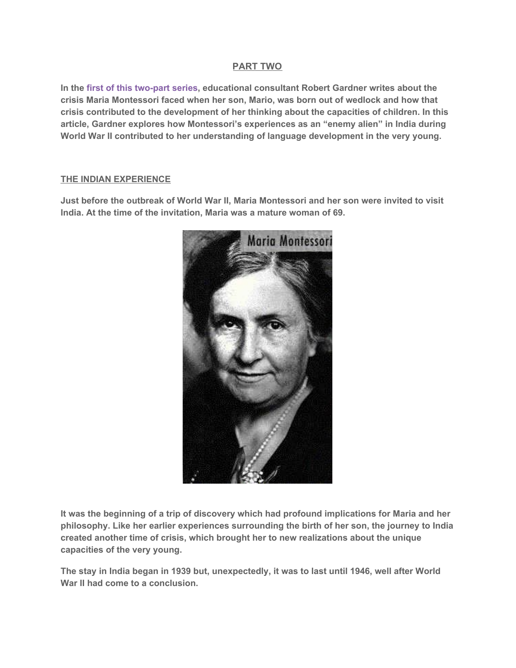#### **PART TWO**

**In the [first of this two-part series,](http://www.northhillmontessori.com/the-maria-montessori-no-one-knows-a-heartbreaking-betrayal-part-1-of-2/) educational consultant Robert Gardner writes about the crisis Maria Montessori faced when her son, Mario, was born out of wedlock and how that crisis contributed to the development of her thinking about the capacities of children. In this article, Gardner explores how Montessori's experiences as an "enemy alien" in India during World War II contributed to her understanding of language development in the very young.**

#### **THE INDIAN EXPERIENCE**

**Just before the outbreak of World War II, Maria Montessori and her son were invited to visit India. At the time of the invitation, Maria was a mature woman of 69.**



**It was the beginning of a trip of discovery which had profound implications for Maria and her philosophy. Like her earlier experiences surrounding the birth of her son, the journey to India created another time of crisis, which brought her to new realizations about the unique capacities of the very young.**

**The stay in India began in 1939 but, unexpectedly, it was to last until 1946, well after World War II had come to a conclusion.**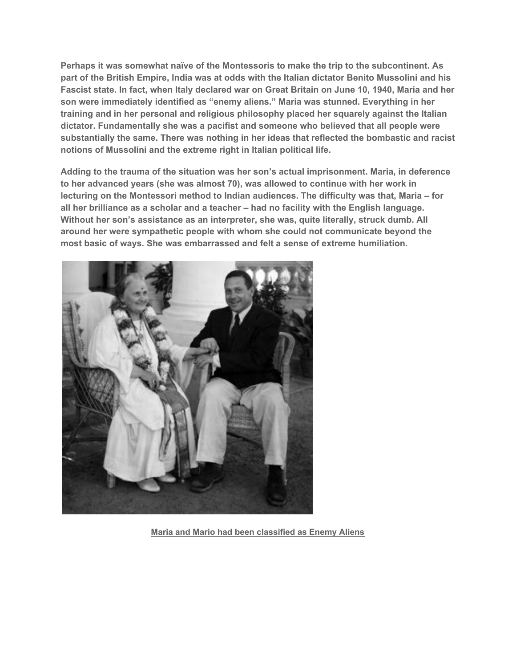**Perhaps it was somewhat naïve of the Montessoris to make the trip to the subcontinent. As part of the British Empire, India was at odds with the Italian dictator Benito Mussolini and his Fascist state. In fact, when Italy declared war on Great Britain on June 10, 1940, Maria and her son were immediately identified as "enemy aliens." Maria was stunned. Everything in her training and in her personal and religious philosophy placed her squarely against the Italian dictator. Fundamentally she was a pacifist and someone who believed that all people were substantially the same. There was nothing in her ideas that reflected the bombastic and racist notions of Mussolini and the extreme right in Italian political life.**

**Adding to the trauma of the situation was her son's actual imprisonment. Maria, in deference to her advanced years (she was almost 70), was allowed to continue with her work in lecturing on the Montessori method to Indian audiences. The difficulty was that, Maria – for all her brilliance as a scholar and a teacher – had no facility with the English language. Without her son's assistance as an interpreter, she was, quite literally, struck dumb. All around her were sympathetic people with whom she could not communicate beyond the most basic of ways. She was embarrassed and felt a sense of extreme humiliation.**



**Maria and Mario had been classified as Enemy Aliens**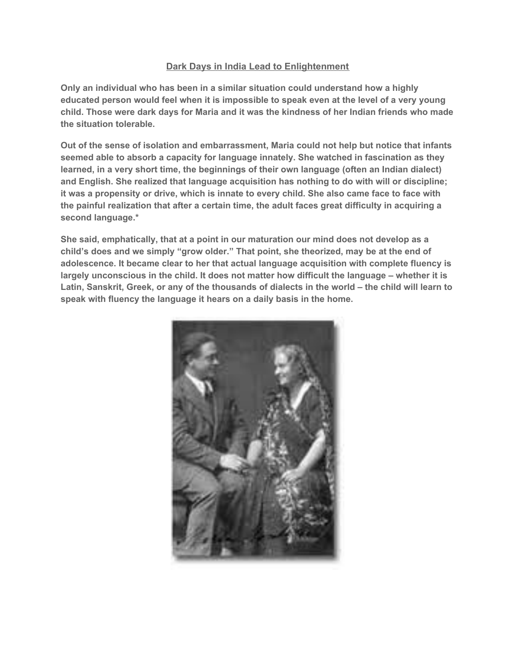#### **Dark Days in India Lead to Enlightenment**

**Only an individual who has been in a similar situation could understand how a highly educated person would feel when it is impossible to speak even at the level of a very young child. Those were dark days for Maria and it was the kindness of her Indian friends who made the situation tolerable.**

**Out of the sense of isolation and embarrassment, Maria could not help but notice that infants seemed able to absorb a capacity for language innately. She watched in fascination as they learned, in a very short time, the beginnings of their own language (often an Indian dialect) and English. She realized that language acquisition has nothing to do with will or discipline; it was a propensity or drive, which is innate to every child. She also came face to face with the painful realization that after a certain time, the adult faces great difficulty in acquiring a second language.\***

**She said, emphatically, that at a point in our maturation our mind does not develop as a child's does and we simply "grow older." That point, she theorized, may be at the end of adolescence. It became clear to her that actual language acquisition with complete fluency is largely unconscious in the child. It does not matter how difficult the language – whether it is Latin, Sanskrit, Greek, or any of the thousands of dialects in the world – the child will learn to speak with fluency the language it hears on a daily basis in the home.**

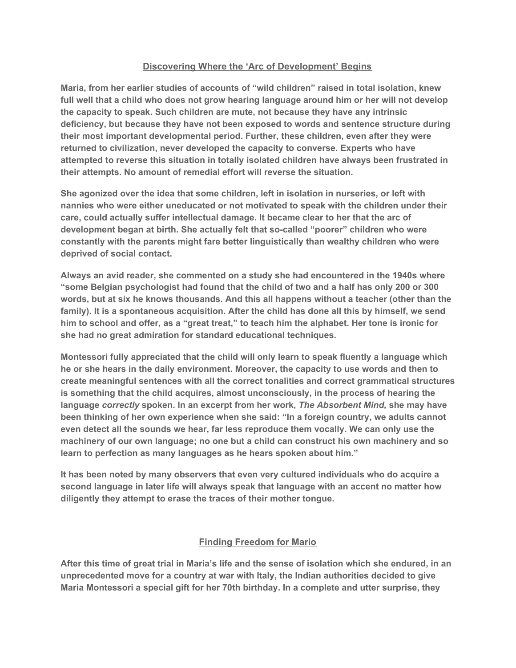#### **Discovering Where the 'Arc of Development' Begins**

**Maria, from her earlier studies of accounts of "wild children" raised in total isolation, knew full well that a child who does not grow hearing language around him or her will not develop the capacity to speak. Such children are mute, not because they have any intrinsic deficiency, but because they have not been exposed to words and sentence structure during their most important developmental period. Further, these children, even after they were returned to civilization, never developed the capacity to converse. Experts who have attempted to reverse this situation in totally isolated children have always been frustrated in their attempts. No amount of remedial effort will reverse the situation.**

**She agonized over the idea that some children, left in isolation in nurseries, or left with nannies who were either uneducated or not motivated to speak with the children under their care, could actually suffer intellectual damage. It became clear to her that the arc of development began at birth. She actually felt that so-called "poorer" children who were constantly with the parents might fare better linguistically than wealthy children who were deprived of social contact.**

**Always an avid reader, she commented on a study she had encountered in the 1940s where "some Belgian psychologist had found that the child of two and a half has only 200 or 300 words, but at six he knows thousands. And this all happens without a teacher (other than the family). It is a spontaneous acquisition. After the child has done all this by himself, we send him to school and offer, as a "great treat," to teach him the alphabet. Her tone is ironic for she had no great admiration for standard educational techniques.**

**Montessori fully appreciated that the child will only learn to speak fluently a language which he or she hears in the daily environment. Moreover, the capacity to use words and then to create meaningful sentences with all the correct tonalities and correct grammatical structures is something that the child acquires, almost unconsciously, in the process of hearing the language** *correctly* **spoken. In an excerpt from her work,** *The Absorbent Mind,* **she may have been thinking of her own experience when she said: "In a foreign country, we adults cannot even detect all the sounds we hear, far less reproduce them vocally. We can only use the machinery of our own language; no one but a child can construct his own machinery and so learn to perfection as many languages as he hears spoken about him."**

**It has been noted by many observers that even very cultured individuals who do acquire a second language in later life will always speak that language with an accent no matter how diligently they attempt to erase the traces of their mother tongue.**

#### **Finding Freedom for Mario**

**After this time of great trial in Maria's life and the sense of isolation which she endured, in an unprecedented move for a country at war with Italy, the Indian authorities decided to give Maria Montessori a special gift for her 70th birthday. In a complete and utter surprise, they**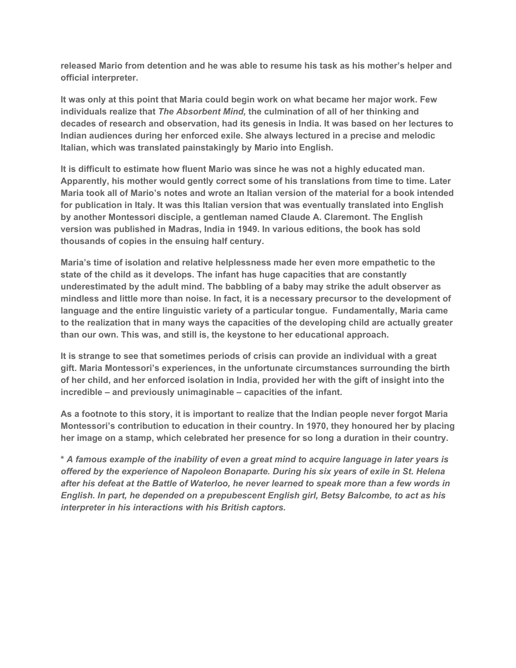**released Mario from detention and he was able to resume his task as his mother's helper and official interpreter.**

**It was only at this point that Maria could begin work on what became her major work. Few individuals realize that** *The Absorbent Mind,* **the culmination of all of her thinking and decades of research and observation, had its genesis in India. It was based on her lectures to Indian audiences during her enforced exile. She always lectured in a precise and melodic Italian, which was translated painstakingly by Mario into English.**

**It is difficult to estimate how fluent Mario was since he was not a highly educated man. Apparently, his mother would gently correct some of his translations from time to time. Later Maria took all of Mario's notes and wrote an Italian version of the material for a book intended for publication in Italy. It was this Italian version that was eventually translated into English by another Montessori disciple, a gentleman named Claude A. Claremont. The English version was published in Madras, India in 1949. In various editions, the book has sold thousands of copies in the ensuing half century.**

**Maria's time of isolation and relative helplessness made her even more empathetic to the state of the child as it develops. The infant has huge capacities that are constantly underestimated by the adult mind. The babbling of a baby may strike the adult observer as mindless and little more than noise. In fact, it is a necessary precursor to the development of language and the entire linguistic variety of a particular tongue. Fundamentally, Maria came to the realization that in many ways the capacities of the developing child are actually greater than our own. This was, and still is, the keystone to her educational approach.**

**It is strange to see that sometimes periods of crisis can provide an individual with a great gift. Maria Montessori's experiences, in the unfortunate circumstances surrounding the birth of her child, and her enforced isolation in India, provided her with the gift of insight into the incredible – and previously unimaginable – capacities of the infant.**

**As a footnote to this story, it is important to realize that the Indian people never forgot Maria Montessori's contribution to education in their country. In 1970, they honoured her by placing her image on a stamp, which celebrated her presence for so long a duration in their country.**

**\*** *A famous example of the inability of even a great mind to acquire language in later years is offered by the experience of Napoleon Bonaparte. During his six years of exile in St. Helena after his defeat at the Battle of Waterloo, he never learned to speak more than a few words in English. In part, he depended on a prepubescent English girl, Betsy Balcombe, to act as his interpreter in his interactions with his British captors.*